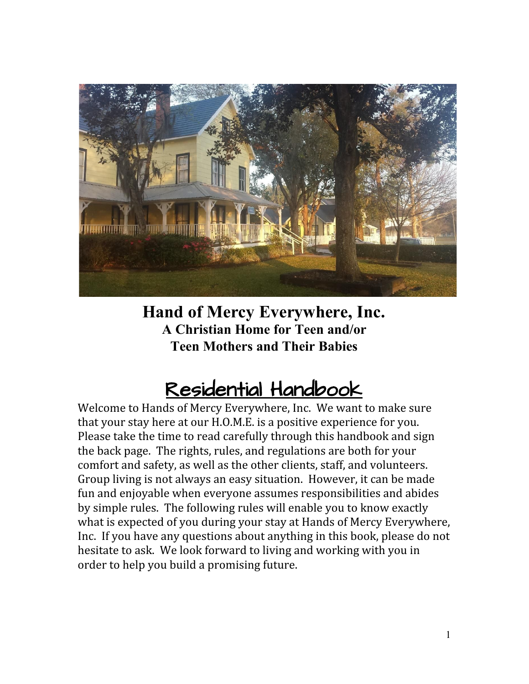

**Hand of Mercy Everywhere, Inc. A Christian Home for Teen and/or Teen Mothers and Their Babies**

## Residential Handbook

Welcome to Hands of Mercy Everywhere, Inc. We want to make sure that your stay here at our H.O.M.E. is a positive experience for you. Please take the time to read carefully through this handbook and sign the back page. The rights, rules, and regulations are both for your comfort and safety, as well as the other clients, staff, and volunteers. Group living is not always an easy situation. However, it can be made fun and enjoyable when everyone assumes responsibilities and abides by simple rules. The following rules will enable you to know exactly what is expected of you during your stay at Hands of Mercy Everywhere, Inc. If you have any questions about anything in this book, please do not hesitate to ask. We look forward to living and working with you in order to help you build a promising future.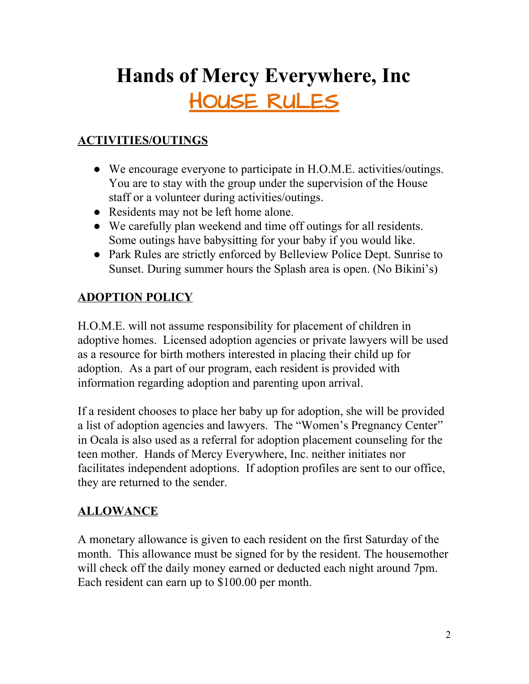# **Hands of Mercy Everywhere, Inc** HOUSE RULES

## **ACTIVITIES/OUTINGS**

- We encourage everyone to participate in H.O.M.E. activities/outings. You are to stay with the group under the supervision of the House staff or a volunteer during activities/outings.
- Residents may not be left home alone.
- We carefully plan weekend and time off outings for all residents. Some outings have babysitting for your baby if you would like.
- Park Rules are strictly enforced by Belleview Police Dept. Sunrise to Sunset. During summer hours the Splash area is open. (No Bikini's)

#### **ADOPTION POLICY**

H.O.M.E. will not assume responsibility for placement of children in adoptive homes. Licensed adoption agencies or private lawyers will be used as a resource for birth mothers interested in placing their child up for adoption. As a part of our program, each resident is provided with information regarding adoption and parenting upon arrival.

If a resident chooses to place her baby up for adoption, she will be provided a list of adoption agencies and lawyers. The "Women's Pregnancy Center" in Ocala is also used as a referral for adoption placement counseling for the teen mother. Hands of Mercy Everywhere, Inc. neither initiates nor facilitates independent adoptions. If adoption profiles are sent to our office, they are returned to the sender.

#### **ALLOWANCE**

A monetary allowance is given to each resident on the first Saturday of the month. This allowance must be signed for by the resident. The housemother will check off the daily money earned or deducted each night around 7pm. Each resident can earn up to \$100.00 per month.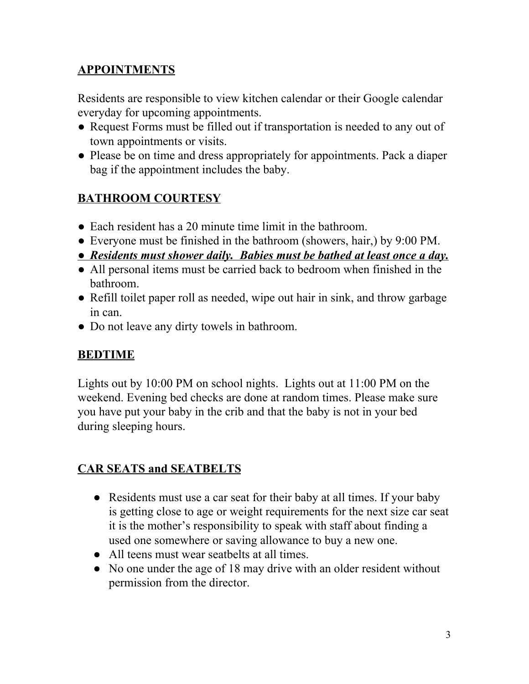#### **APPOINTMENTS**

Residents are responsible to view kitchen calendar or their Google calendar everyday for upcoming appointments.

- Request Forms must be filled out if transportation is needed to any out of town appointments or visits.
- Please be on time and dress appropriately for appointments. Pack a diaper bag if the appointment includes the baby.

## **BATHROOM COURTESY**

- Each resident has a 20 minute time limit in the bathroom.
- Everyone must be finished in the bathroom (showers, hair,) by 9:00 PM.
- *● Residents must shower daily. Babies must be bathed at least once a day.*
- All personal items must be carried back to bedroom when finished in the bathroom.
- Refill toilet paper roll as needed, wipe out hair in sink, and throw garbage in can.
- Do not leave any dirty towels in bathroom.

#### **BEDTIME**

Lights out by 10:00 PM on school nights. Lights out at 11:00 PM on the weekend. Evening bed checks are done at random times. Please make sure you have put your baby in the crib and that the baby is not in your bed during sleeping hours.

#### **CAR SEATS and SEATBELTS**

- Residents must use a car seat for their baby at all times. If your baby is getting close to age or weight requirements for the next size car seat it is the mother's responsibility to speak with staff about finding a used one somewhere or saving allowance to buy a new one.
- All teens must wear seatbelts at all times.
- No one under the age of 18 may drive with an older resident without permission from the director.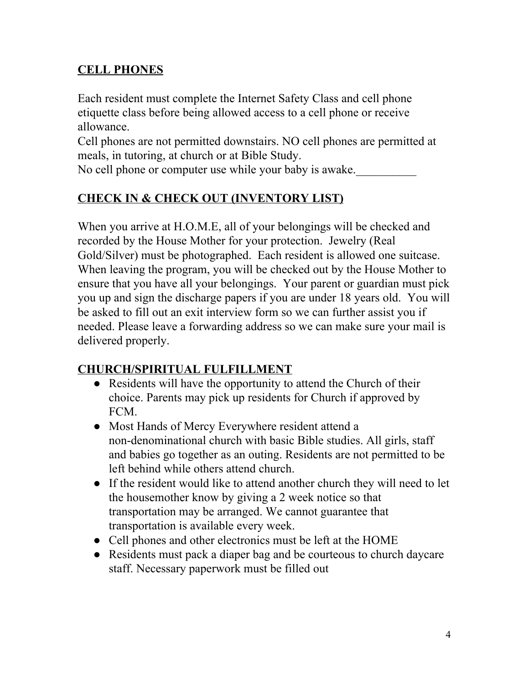#### **CELL PHONES**

Each resident must complete the Internet Safety Class and cell phone etiquette class before being allowed access to a cell phone or receive allowance.

Cell phones are not permitted downstairs. NO cell phones are permitted at meals, in tutoring, at church or at Bible Study.

No cell phone or computer use while your baby is awake.

## **CHECK IN & CHECK OUT (INVENTORY LIST)**

When you arrive at H.O.M.E, all of your belongings will be checked and recorded by the House Mother for your protection. Jewelry (Real Gold/Silver) must be photographed. Each resident is allowed one suitcase. When leaving the program, you will be checked out by the House Mother to ensure that you have all your belongings. Your parent or guardian must pick you up and sign the discharge papers if you are under 18 years old. You will be asked to fill out an exit interview form so we can further assist you if needed. Please leave a forwarding address so we can make sure your mail is delivered properly.

#### **CHURCH/SPIRITUAL FULFILLMENT**

- Residents will have the opportunity to attend the Church of their choice. Parents may pick up residents for Church if approved by FCM.
- Most Hands of Mercy Everywhere resident attend a non-denominational church with basic Bible studies. All girls, staff and babies go together as an outing. Residents are not permitted to be left behind while others attend church.
- If the resident would like to attend another church they will need to let the housemother know by giving a 2 week notice so that transportation may be arranged. We cannot guarantee that transportation is available every week.
- Cell phones and other electronics must be left at the HOME
- Residents must pack a diaper bag and be courteous to church daycare staff. Necessary paperwork must be filled out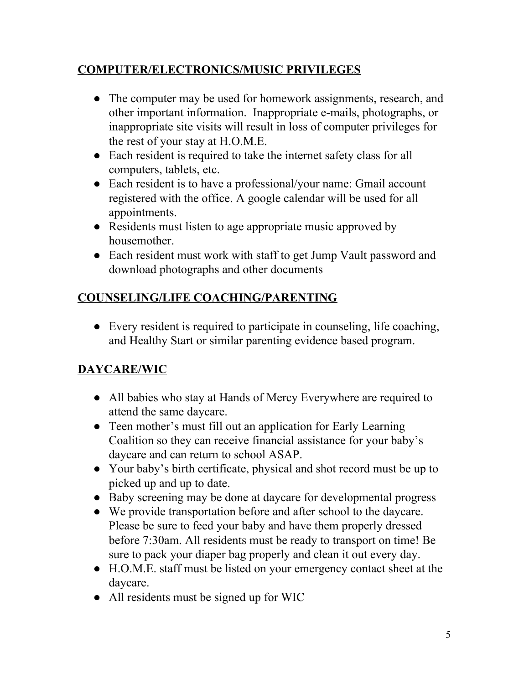#### **COMPUTER/ELECTRONICS/MUSIC PRIVILEGES**

- The computer may be used for homework assignments, research, and other important information. Inappropriate e-mails, photographs, or inappropriate site visits will result in loss of computer privileges for the rest of your stay at H.O.M.E.
- Each resident is required to take the internet safety class for all computers, tablets, etc.
- Each resident is to have a professional/your name: Gmail account registered with the office. A google calendar will be used for all appointments.
- Residents must listen to age appropriate music approved by housemother.
- Each resident must work with staff to get Jump Vault password and download photographs and other documents

## **COUNSELING/LIFE COACHING/PARENTING**

● Every resident is required to participate in counseling, life coaching, and Healthy Start or similar parenting evidence based program.

## **DAYCARE/WIC**

- All babies who stay at Hands of Mercy Everywhere are required to attend the same daycare.
- Teen mother's must fill out an application for Early Learning Coalition so they can receive financial assistance for your baby's daycare and can return to school ASAP.
- Your baby's birth certificate, physical and shot record must be up to picked up and up to date.
- Baby screening may be done at daycare for developmental progress
- We provide transportation before and after school to the daycare. Please be sure to feed your baby and have them properly dressed before 7:30am. All residents must be ready to transport on time! Be sure to pack your diaper bag properly and clean it out every day.
- H.O.M.E. staff must be listed on your emergency contact sheet at the daycare.
- All residents must be signed up for WIC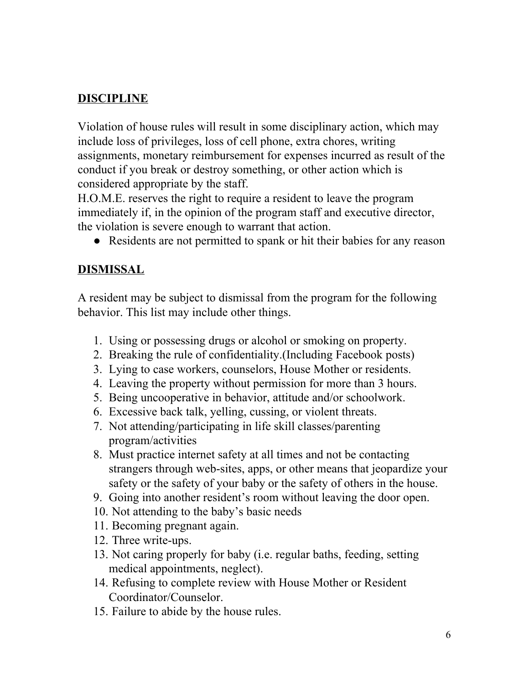#### **DISCIPLINE**

Violation of house rules will result in some disciplinary action, which may include loss of privileges, loss of cell phone, extra chores, writing assignments, monetary reimbursement for expenses incurred as result of the conduct if you break or destroy something, or other action which is considered appropriate by the staff.

H.O.M.E. reserves the right to require a resident to leave the program immediately if, in the opinion of the program staff and executive director, the violation is severe enough to warrant that action.

• Residents are not permitted to spank or hit their babies for any reason

#### **DISMISSAL**

A resident may be subject to dismissal from the program for the following behavior. This list may include other things.

- 1. Using or possessing drugs or alcohol or smoking on property.
- 2. Breaking the rule of confidentiality.(Including Facebook posts)
- 3. Lying to case workers, counselors, House Mother or residents.
- 4. Leaving the property without permission for more than 3 hours.
- 5. Being uncooperative in behavior, attitude and/or schoolwork.
- 6. Excessive back talk, yelling, cussing, or violent threats.
- 7. Not attending/participating in life skill classes/parenting program/activities
- 8. Must practice internet safety at all times and not be contacting strangers through web-sites, apps, or other means that jeopardize your safety or the safety of your baby or the safety of others in the house.
- 9. Going into another resident's room without leaving the door open.
- 10. Not attending to the baby's basic needs
- 11. Becoming pregnant again.
- 12. Three write-ups.
- 13. Not caring properly for baby (i.e. regular baths, feeding, setting medical appointments, neglect).
- 14. Refusing to complete review with House Mother or Resident Coordinator/Counselor.
- 15. Failure to abide by the house rules.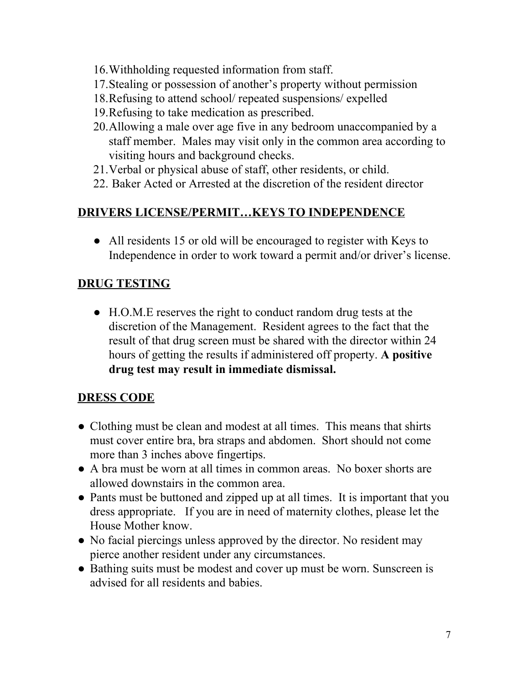- 16.Withholding requested information from staff.
- 17.Stealing or possession of another's property without permission
- 18.Refusing to attend school/ repeated suspensions/ expelled
- 19.Refusing to take medication as prescribed.
- 20.Allowing a male over age five in any bedroom unaccompanied by a staff member. Males may visit only in the common area according to visiting hours and background checks.
- 21.Verbal or physical abuse of staff, other residents, or child.
- 22. Baker Acted or Arrested at the discretion of the resident director

#### **DRIVERS LICENSE/PERMIT…KEYS TO INDEPENDENCE**

• All residents 15 or old will be encouraged to register with Keys to Independence in order to work toward a permit and/or driver's license.

#### **DRUG TESTING**

**●** H.O.M.E reserves the right to conduct random drug tests at the discretion of the Management. Resident agrees to the fact that the result of that drug screen must be shared with the director within 24 hours of getting the results if administered off property. **A positive drug test may result in immediate dismissal.**

#### **DRESS CODE**

- Clothing must be clean and modest at all times. This means that shirts must cover entire bra, bra straps and abdomen. Short should not come more than 3 inches above fingertips.
- A bra must be worn at all times in common areas. No boxer shorts are allowed downstairs in the common area.
- Pants must be buttoned and zipped up at all times. It is important that you dress appropriate. If you are in need of maternity clothes, please let the House Mother know.
- No facial piercings unless approved by the director. No resident may pierce another resident under any circumstances.
- Bathing suits must be modest and cover up must be worn. Sunscreen is advised for all residents and babies.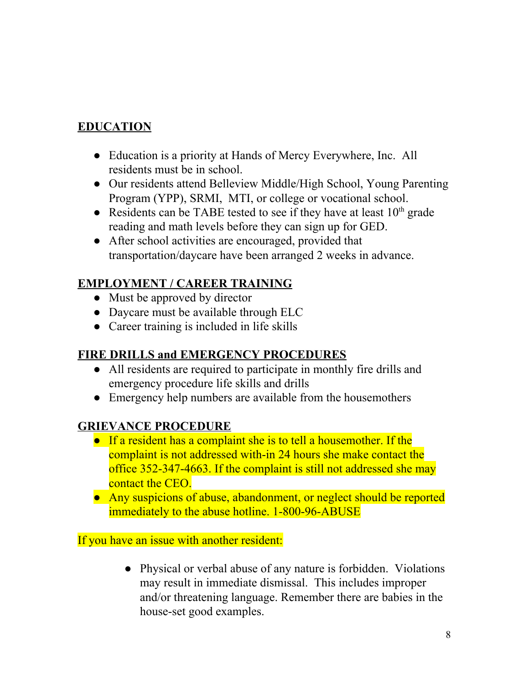#### **EDUCATION**

- Education is a priority at Hands of Mercy Everywhere, Inc. All residents must be in school.
- Our residents attend Belleview Middle/High School, Young Parenting Program (YPP), SRMI, MTI, or college or vocational school.
- Residents can be TABE tested to see if they have at least  $10<sup>th</sup>$  grade reading and math levels before they can sign up for GED.
- After school activities are encouraged, provided that transportation/daycare have been arranged 2 weeks in advance.

#### **EMPLOYMENT / CAREER TRAINING**

- Must be approved by director
- Daycare must be available through ELC
- Career training is included in life skills

#### **FIRE DRILLS and EMERGENCY PROCEDURES**

- All residents are required to participate in monthly fire drills and emergency procedure life skills and drills
- Emergency help numbers are available from the housemothers

#### **GRIEVANCE PROCEDURE**

- If a resident has a complaint she is to tell a housemother. If the complaint is not addressed with-in 24 hours she make contact the office 352-347-4663. If the complaint is still not addressed she may contact the CEO.
- Any suspicions of abuse, abandonment, or neglect should be reported immediately to the abuse hotline. 1-800-96-ABUSE

If you have an issue with another resident:

• Physical or verbal abuse of any nature is forbidden. Violations may result in immediate dismissal. This includes improper and/or threatening language. Remember there are babies in the house-set good examples.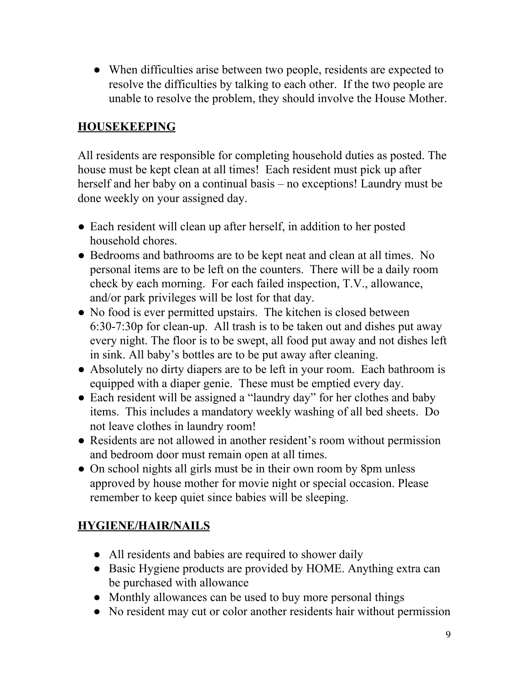• When difficulties arise between two people, residents are expected to resolve the difficulties by talking to each other. If the two people are unable to resolve the problem, they should involve the House Mother.

#### **HOUSEKEEPING**

All residents are responsible for completing household duties as posted. The house must be kept clean at all times! Each resident must pick up after herself and her baby on a continual basis – no exceptions! Laundry must be done weekly on your assigned day.

- Each resident will clean up after herself, in addition to her posted household chores.
- Bedrooms and bathrooms are to be kept neat and clean at all times. No personal items are to be left on the counters. There will be a daily room check by each morning. For each failed inspection, T.V., allowance, and/or park privileges will be lost for that day.
- No food is ever permitted upstairs. The kitchen is closed between 6:30-7:30p for clean-up. All trash is to be taken out and dishes put away every night. The floor is to be swept, all food put away and not dishes left in sink. All baby's bottles are to be put away after cleaning.
- Absolutely no dirty diapers are to be left in your room. Each bathroom is equipped with a diaper genie. These must be emptied every day.
- Each resident will be assigned a "laundry day" for her clothes and baby items. This includes a mandatory weekly washing of all bed sheets. Do not leave clothes in laundry room!
- Residents are not allowed in another resident's room without permission and bedroom door must remain open at all times.
- On school nights all girls must be in their own room by 8pm unless approved by house mother for movie night or special occasion. Please remember to keep quiet since babies will be sleeping.

#### **HYGIENE/HAIR/NAILS**

- All residents and babies are required to shower daily
- Basic Hygiene products are provided by HOME. Anything extra can be purchased with allowance
- Monthly allowances can be used to buy more personal things
- No resident may cut or color another residents hair without permission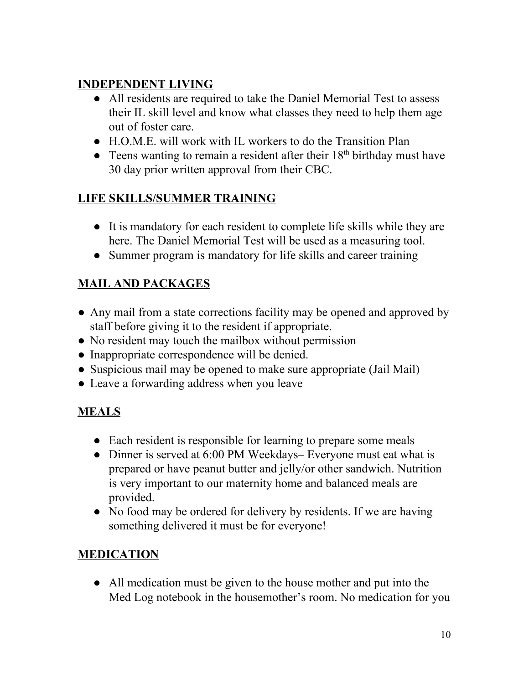#### **INDEPENDENT LIVING**

- All residents are required to take the Daniel Memorial Test to assess their IL skill level and know what classes they need to help them age out of foster care.
- H.O.M.E. will work with IL workers to do the Transition Plan
- Teens wanting to remain a resident after their  $18<sup>th</sup>$  birthday must have 30 day prior written approval from their CBC.

## **LIFE SKILLS/SUMMER TRAINING**

- It is mandatory for each resident to complete life skills while they are here. The Daniel Memorial Test will be used as a measuring tool.
- Summer program is mandatory for life skills and career training

## **MAIL AND PACKAGES**

- Any mail from a state corrections facility may be opened and approved by staff before giving it to the resident if appropriate.
- No resident may touch the mailbox without permission
- Inappropriate correspondence will be denied.
- Suspicious mail may be opened to make sure appropriate (Jail Mail)
- Leave a forwarding address when you leave

## **MEALS**

- Each resident is responsible for learning to prepare some meals
- Dinner is served at 6:00 PM Weekdays– Everyone must eat what is prepared or have peanut butter and jelly/or other sandwich. Nutrition is very important to our maternity home and balanced meals are provided.
- No food may be ordered for delivery by residents. If we are having something delivered it must be for everyone!

## **MEDICATION**

● All medication must be given to the house mother and put into the Med Log notebook in the housemother's room. No medication for you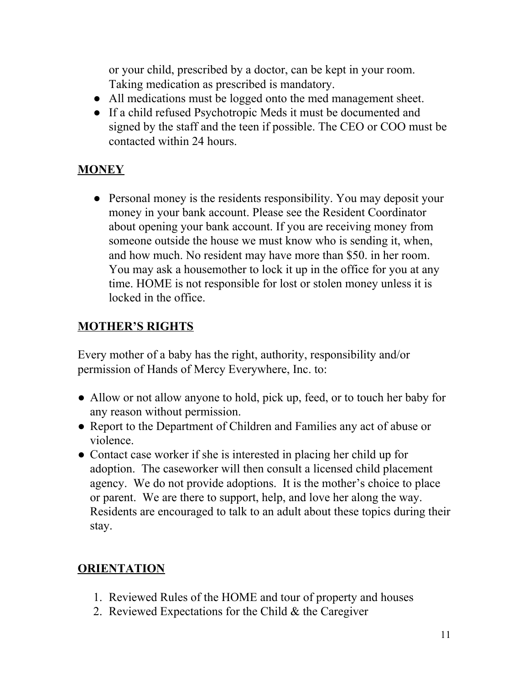or your child, prescribed by a doctor, can be kept in your room. Taking medication as prescribed is mandatory.

- All medications must be logged onto the med management sheet.
- If a child refused Psychotropic Meds it must be documented and signed by the staff and the teen if possible. The CEO or COO must be contacted within 24 hours.

## **MONEY**

• Personal money is the residents responsibility. You may deposit your money in your bank account. Please see the Resident Coordinator about opening your bank account. If you are receiving money from someone outside the house we must know who is sending it, when, and how much. No resident may have more than \$50. in her room. You may ask a housemother to lock it up in the office for you at any time. HOME is not responsible for lost or stolen money unless it is locked in the office.

#### **MOTHER'S RIGHTS**

Every mother of a baby has the right, authority, responsibility and/or permission of Hands of Mercy Everywhere, Inc. to:

- Allow or not allow anyone to hold, pick up, feed, or to touch her baby for any reason without permission.
- Report to the Department of Children and Families any act of abuse or violence.
- Contact case worker if she is interested in placing her child up for adoption. The caseworker will then consult a licensed child placement agency. We do not provide adoptions. It is the mother's choice to place or parent. We are there to support, help, and love her along the way. Residents are encouraged to talk to an adult about these topics during their stay.

#### **ORIENTATION**

- 1. Reviewed Rules of the HOME and tour of property and houses
- 2. Reviewed Expectations for the Child & the Caregiver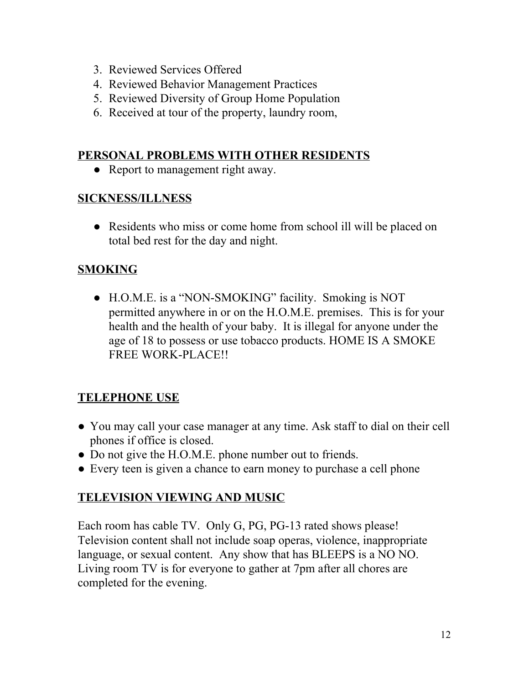- 3. Reviewed Services Offered
- 4. Reviewed Behavior Management Practices
- 5. Reviewed Diversity of Group Home Population
- 6. Received at tour of the property, laundry room,

#### **PERSONAL PROBLEMS WITH OTHER RESIDENTS**

• Report to management right away.

#### **SICKNESS/ILLNESS**

• Residents who miss or come home from school ill will be placed on total bed rest for the day and night.

#### **SMOKING**

● H.O.M.E. is a "NON-SMOKING" facility. Smoking is NOT permitted anywhere in or on the H.O.M.E. premises. This is for your health and the health of your baby. It is illegal for anyone under the age of 18 to possess or use tobacco products. HOME IS A SMOKE FREE WORK-PLACE!!

#### **TELEPHONE USE**

- You may call your case manager at any time. Ask staff to dial on their cell phones if office is closed.
- Do not give the H.O.M.E. phone number out to friends.
- Every teen is given a chance to earn money to purchase a cell phone

#### **TELEVISION VIEWING AND MUSIC**

Each room has cable TV. Only G, PG, PG-13 rated shows please! Television content shall not include soap operas, violence, inappropriate language, or sexual content. Any show that has BLEEPS is a NO NO. Living room TV is for everyone to gather at 7pm after all chores are completed for the evening.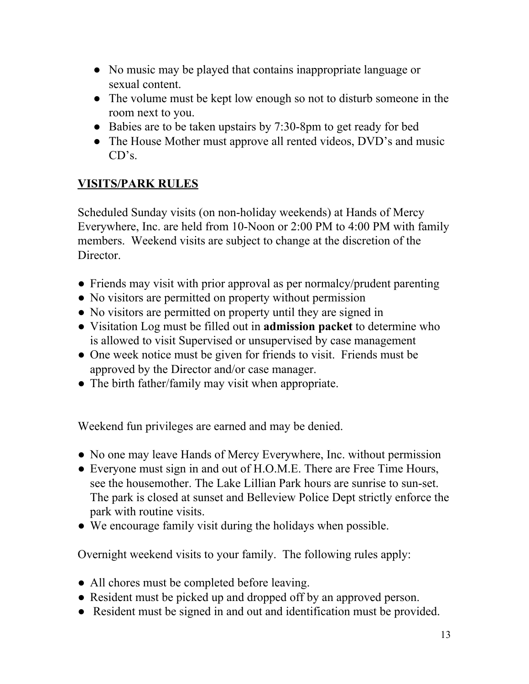- No music may be played that contains inappropriate language or sexual content.
- The volume must be kept low enough so not to disturb someone in the room next to you.
- Babies are to be taken upstairs by 7:30-8pm to get ready for bed
- The House Mother must approve all rented videos, DVD's and music CD's.

#### **VISITS/PARK RULES**

Scheduled Sunday visits (on non-holiday weekends) at Hands of Mercy Everywhere, Inc. are held from 10-Noon or 2:00 PM to 4:00 PM with family members. Weekend visits are subject to change at the discretion of the Director.

- Friends may visit with prior approval as per normalcy/prudent parenting
- No visitors are permitted on property without permission
- No visitors are permitted on property until they are signed in
- Visitation Log must be filled out in **admission packet** to determine who is allowed to visit Supervised or unsupervised by case management
- One week notice must be given for friends to visit. Friends must be approved by the Director and/or case manager.
- The birth father/family may visit when appropriate.

Weekend fun privileges are earned and may be denied.

- No one may leave Hands of Mercy Everywhere, Inc. without permission
- Everyone must sign in and out of H.O.M.E. There are Free Time Hours, see the housemother. The Lake Lillian Park hours are sunrise to sun-set. The park is closed at sunset and Belleview Police Dept strictly enforce the park with routine visits.
- We encourage family visit during the holidays when possible.

Overnight weekend visits to your family. The following rules apply:

- All chores must be completed before leaving.
- Resident must be picked up and dropped off by an approved person.
- Resident must be signed in and out and identification must be provided.